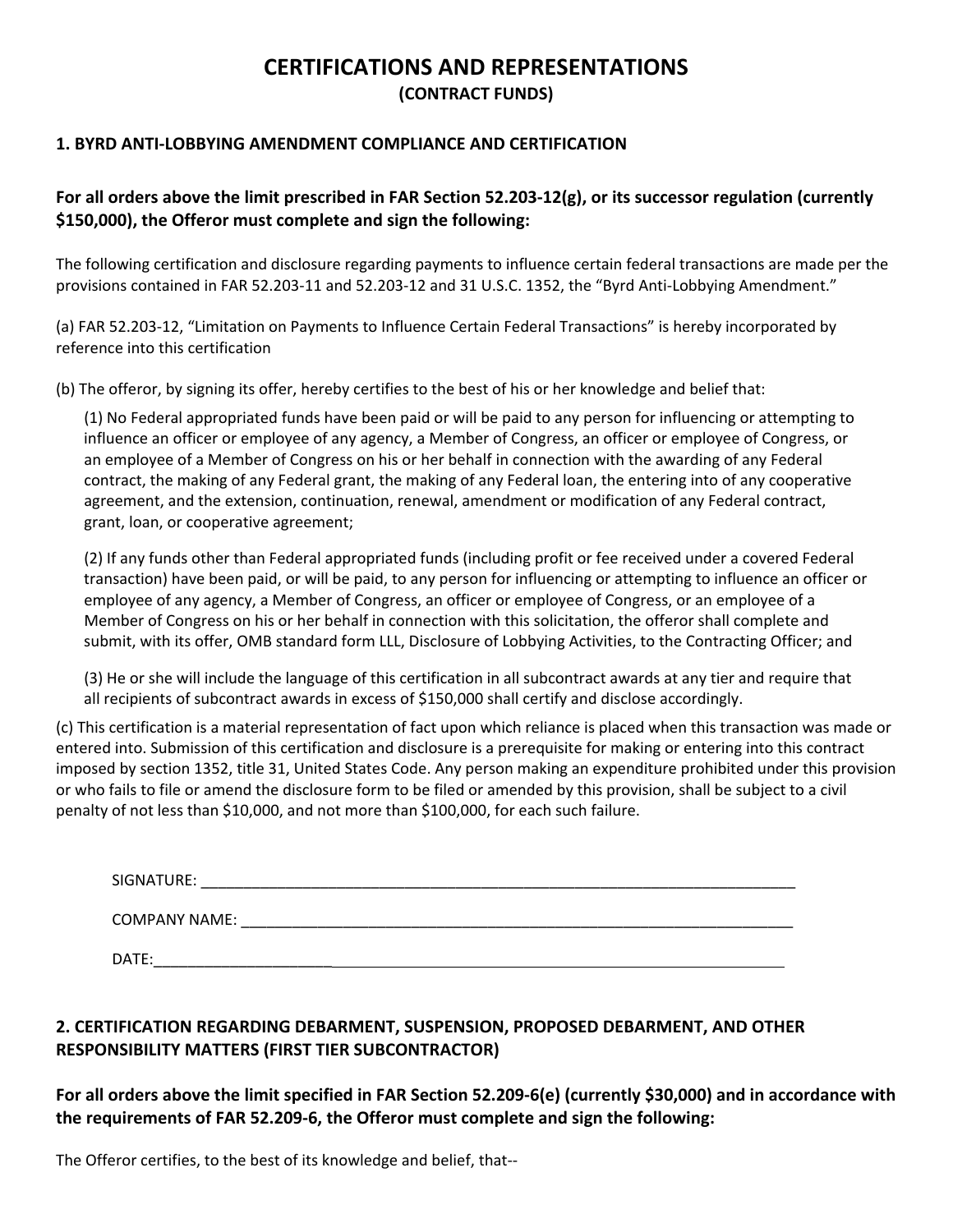## **CERTIFICATIONS AND REPRESENTATIONS (CONTRACT FUNDS)**

## **1. BYRD ANTI‐LOBBYING AMENDMENT COMPLIANCE AND CERTIFICATION**

## For all orders above the limit prescribed in FAR Section 52.203-12(g), or its successor regulation (currently **\$150,000), the Offeror must complete and sign the following:**

The following certification and disclosure regarding payments to influence certain federal transactions are made per the provisions contained in FAR 52.203‐11 and 52.203‐12 and 31 U.S.C. 1352, the "Byrd Anti‐Lobbying Amendment."

(a) FAR 52.203‐12, "Limitation on Payments to Influence Certain Federal Transactions" is hereby incorporated by reference into this certification

(b) The offeror, by signing its offer, hereby certifies to the best of his or her knowledge and belief that:

(1) No Federal appropriated funds have been paid or will be paid to any person for influencing or attempting to influence an officer or employee of any agency, a Member of Congress, an officer or employee of Congress, or an employee of a Member of Congress on his or her behalf in connection with the awarding of any Federal contract, the making of any Federal grant, the making of any Federal loan, the entering into of any cooperative agreement, and the extension, continuation, renewal, amendment or modification of any Federal contract, grant, loan, or cooperative agreement;

(2) If any funds other than Federal appropriated funds (including profit or fee received under a covered Federal transaction) have been paid, or will be paid, to any person for influencing or attempting to influence an officer or employee of any agency, a Member of Congress, an officer or employee of Congress, or an employee of a Member of Congress on his or her behalf in connection with this solicitation, the offeror shall complete and submit, with its offer, OMB standard form LLL, Disclosure of Lobbying Activities, to the Contracting Officer; and

(3) He or she will include the language of this certification in all subcontract awards at any tier and require that all recipients of subcontract awards in excess of \$150,000 shall certify and disclose accordingly.

(c) This certification is a material representation of fact upon which reliance is placed when this transaction was made or entered into. Submission of this certification and disclosure is a prerequisite for making or entering into this contract imposed by section 1352, title 31, United States Code. Any person making an expenditure prohibited under this provision or who fails to file or amend the disclosure form to be filed or amended by this provision, shall be subject to a civil penalty of not less than \$10,000, and not more than \$100,000, for each such failure.

| SIGNATURE:<br>TIDF. |  |
|---------------------|--|
|                     |  |

COMPANY NAME: \_\_\_\_\_\_\_\_\_\_\_\_\_\_\_\_\_\_\_\_\_\_\_\_\_\_\_\_\_\_\_\_\_\_\_\_\_\_\_\_\_\_\_\_\_\_\_\_\_\_\_\_\_\_\_\_\_\_\_\_\_\_\_\_\_

DATE:\_\_\_\_\_\_\_\_\_\_\_\_\_\_\_\_\_\_\_\_\_

## **2. CERTIFICATION REGARDING DEBARMENT, SUSPENSION, PROPOSED DEBARMENT, AND OTHER RESPONSIBILITY MATTERS (FIRST TIER SUBCONTRACTOR)**

For all orders above the limit specified in FAR Section 52.209-6(e) (currently \$30,000) and in accordance with **the requirements of FAR 52.209‐6, the Offeror must complete and sign the following:** 

The Offeror certifies, to the best of its knowledge and belief, that‐‐